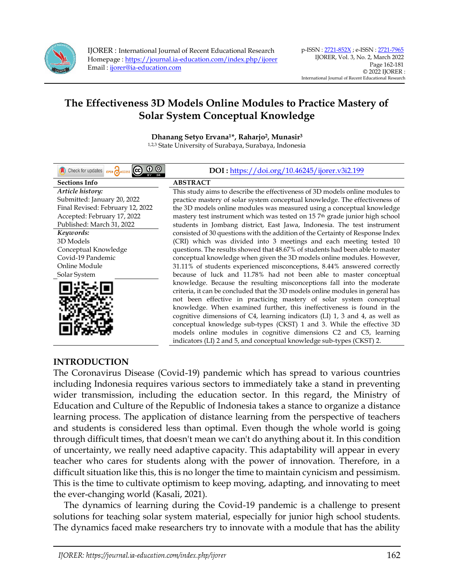

**Dhanang Setyo Ervana1\*, Raharjo<sup>2</sup> , Munasir<sup>3</sup>** 1,2,3 State University of Surabaya, Surabaya, Indonesia

<u>ල 0 ම</u> Check for updates oPEN **Sections Info ABSTRACT** *Article history:* Submitted: January 20, 2022 Final Revised: February 12, 2022 Accepted: February 17, 2022 Published: March 31, 2022 *Keywords:* 3D Models Conceptual Knowledge Covid-19 Pandemic Online Module Solar System



#### **DOI :** <https://doi.org/10.46245/ijorer.v3i2.199>

This study aims to describe the effectiveness of 3D models online modules to practice mastery of solar system conceptual knowledge. The effectiveness of the 3D models online modules was measured using a conceptual knowledge mastery test instrument which was tested on 15 7<sup>th</sup> grade junior high school students in Jombang district, East Jawa, Indonesia. The test instrument consisted of 30 questions with the addition of the Certainty of Response Index (CRI) which was divided into 3 meetings and each meeting tested 10 questions. The results showed that 48.67% of students had been able to master conceptual knowledge when given the 3D models online modules. However, 31.11% of students experienced misconceptions, 8.44% answered correctly because of luck and 11.78% had not been able to master conceptual knowledge. Because the resulting misconceptions fall into the moderate criteria, it can be concluded that the 3D models online modules in general has not been effective in practicing mastery of solar system conceptual knowledge. When examined further, this ineffectiveness is found in the cognitive dimensions of C4, learning indicators (LI) 1, 3 and 4, as well as conceptual knowledge sub-types (CKST) 1 and 3. While the effective 3D models online modules in cognitive dimensions C2 and C5, learning indicators (LI) 2 and 5, and conceptual knowledge sub-types (CKST) 2.

#### **INTRODUCTION**

The Coronavirus Disease (Covid-19) pandemic which has spread to various countries including Indonesia requires various sectors to immediately take a stand in preventing wider transmission, including the education sector. In this regard, the Ministry of Education and Culture of the Republic of Indonesia takes a stance to organize a distance learning process. The application of distance learning from the perspective of teachers and students is considered less than optimal. Even though the whole world is going through difficult times, that doesn't mean we can't do anything about it. In this condition of uncertainty, we really need adaptive capacity. This adaptability will appear in every teacher who cares for students along with the power of innovation. Therefore, in a difficult situation like this, this is no longer the time to maintain cynicism and pessimism. This is the time to cultivate optimism to keep moving, adapting, and innovating to meet the ever-changing world (Kasali, 2021).

The dynamics of learning during the Covid-19 pandemic is a challenge to present solutions for teaching solar system material, especially for junior high school students. The dynamics faced make researchers try to innovate with a module that has the ability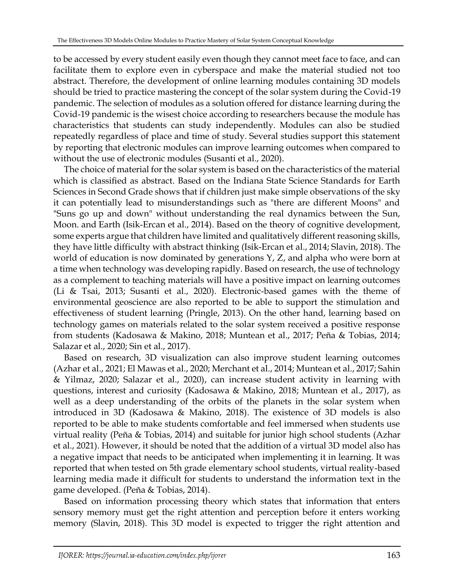to be accessed by every student easily even though they cannot meet face to face, and can facilitate them to explore even in cyberspace and make the material studied not too abstract. Therefore, the development of online learning modules containing 3D models should be tried to practice mastering the concept of the solar system during the Covid-19 pandemic. The selection of modules as a solution offered for distance learning during the Covid-19 pandemic is the wisest choice according to researchers because the module has characteristics that students can study independently. Modules can also be studied repeatedly regardless of place and time of study. Several studies support this statement by reporting that electronic modules can improve learning outcomes when compared to without the use of electronic modules (Susanti et al., 2020).

The choice of material for the solar system is based on the characteristics of the material which is classified as abstract. Based on the Indiana State Science Standards for Earth Sciences in Second Grade shows that if children just make simple observations of the sky it can potentially lead to misunderstandings such as "there are different Moons" and "Suns go up and down" without understanding the real dynamics between the Sun, Moon. and Earth (Isik-Ercan et al., 2014). Based on the theory of cognitive development, some experts argue that children have limited and qualitatively different reasoning skills, they have little difficulty with abstract thinking (Isik-Ercan et al., 2014; Slavin, 2018). The world of education is now dominated by generations Y, Z, and alpha who were born at a time when technology was developing rapidly. Based on research, the use of technology as a complement to teaching materials will have a positive impact on learning outcomes (Li & Tsai, 2013; Susanti et al., 2020). Electronic-based games with the theme of environmental geoscience are also reported to be able to support the stimulation and effectiveness of student learning (Pringle, 2013). On the other hand, learning based on technology games on materials related to the solar system received a positive response from students (Kadosawa & Makino, 2018; Muntean et al., 2017; Peña & Tobias, 2014; Salazar et al., 2020; Sin et al., 2017).

Based on research, 3D visualization can also improve student learning outcomes (Azhar et al., 2021; El Mawas et al., 2020; Merchant et al., 2014; Muntean et al., 2017; Sahin & Yilmaz, 2020; Salazar et al., 2020), can increase student activity in learning with questions, interest and curiosity (Kadosawa & Makino, 2018; Muntean et al., 2017), as well as a deep understanding of the orbits of the planets in the solar system when introduced in 3D (Kadosawa & Makino, 2018). The existence of 3D models is also reported to be able to make students comfortable and feel immersed when students use virtual reality (Peña & Tobias, 2014) and suitable for junior high school students (Azhar et al., 2021). However, it should be noted that the addition of a virtual 3D model also has a negative impact that needs to be anticipated when implementing it in learning. It was reported that when tested on 5th grade elementary school students, virtual reality-based learning media made it difficult for students to understand the information text in the game developed. (Peña & Tobias, 2014).

Based on information processing theory which states that information that enters sensory memory must get the right attention and perception before it enters working memory (Slavin, 2018). This 3D model is expected to trigger the right attention and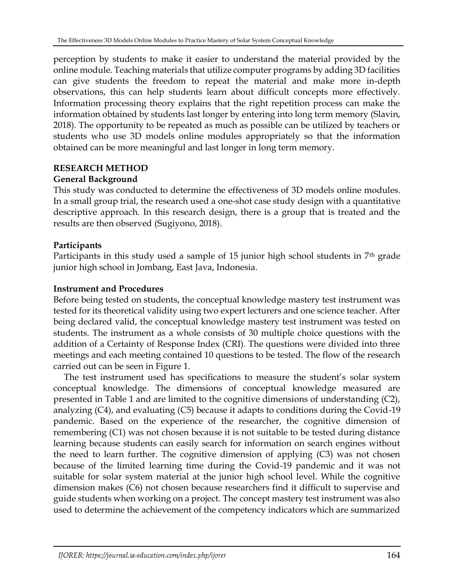perception by students to make it easier to understand the material provided by the online module. Teaching materials that utilize computer programs by adding 3D facilities can give students the freedom to repeat the material and make more in-depth observations, this can help students learn about difficult concepts more effectively. Information processing theory explains that the right repetition process can make the information obtained by students last longer by entering into long term memory (Slavin, 2018). The opportunity to be repeated as much as possible can be utilized by teachers or students who use 3D models online modules appropriately so that the information obtained can be more meaningful and last longer in long term memory.

## **RESEARCH METHOD**

# **General Background**

This study was conducted to determine the effectiveness of 3D models online modules. In a small group trial, the research used a one-shot case study design with a quantitative descriptive approach. In this research design, there is a group that is treated and the results are then observed (Sugiyono, 2018).

# **Participants**

Participants in this study used a sample of 15 junior high school students in 7<sup>th</sup> grade junior high school in Jombang, East Java, Indonesia.

## **Instrument and Procedures**

Before being tested on students, the conceptual knowledge mastery test instrument was tested for its theoretical validity using two expert lecturers and one science teacher. After being declared valid, the conceptual knowledge mastery test instrument was tested on students. The instrument as a whole consists of 30 multiple choice questions with the addition of a Certainty of Response Index (CRI). The questions were divided into three meetings and each meeting contained 10 questions to be tested. The flow of the research carried out can be seen in Figure 1.

The test instrument used has specifications to measure the student's solar system conceptual knowledge. The dimensions of conceptual knowledge measured are presented in Table 1 and are limited to the cognitive dimensions of understanding (C2), analyzing (C4), and evaluating (C5) because it adapts to conditions during the Covid-19 pandemic. Based on the experience of the researcher, the cognitive dimension of remembering (C1) was not chosen because it is not suitable to be tested during distance learning because students can easily search for information on search engines without the need to learn further. The cognitive dimension of applying (C3) was not chosen because of the limited learning time during the Covid-19 pandemic and it was not suitable for solar system material at the junior high school level. While the cognitive dimension makes (C6) not chosen because researchers find it difficult to supervise and guide students when working on a project. The concept mastery test instrument was also used to determine the achievement of the competency indicators which are summarized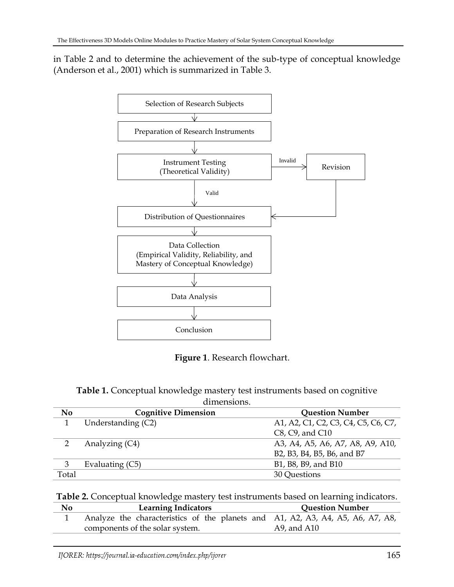in Table 2 and to determine the achievement of the sub-type of conceptual knowledge (Anderson et al., 2001) which is summarized in Table 3.



**Figure 1**. Research flowchart.

| Table 1. Conceptual knowledge mastery test instruments based on cognitive |  |
|---------------------------------------------------------------------------|--|
| dimensions                                                                |  |

| <b>Question Number</b>                                                                                  |
|---------------------------------------------------------------------------------------------------------|
| A1, A2, C1, C2, C3, C4, C5, C6, C7,                                                                     |
|                                                                                                         |
| A3, A4, A5, A6, A7, A8, A9, A10,                                                                        |
|                                                                                                         |
|                                                                                                         |
|                                                                                                         |
| B <sub>2</sub> , B <sub>3</sub> , B <sub>4</sub> , B <sub>5</sub> , B <sub>6</sub> , and B <sub>7</sub> |

| Table 2. Conceptual knowledge mastery test instruments based on learning indicators. |
|--------------------------------------------------------------------------------------|
|--------------------------------------------------------------------------------------|

| No | <b>Learning Indicators</b>                                                     | <b>Question Number</b> |
|----|--------------------------------------------------------------------------------|------------------------|
|    | Analyze the characteristics of the planets and A1, A2, A3, A4, A5, A6, A7, A8, |                        |
|    | components of the solar system.                                                | A9, and A10            |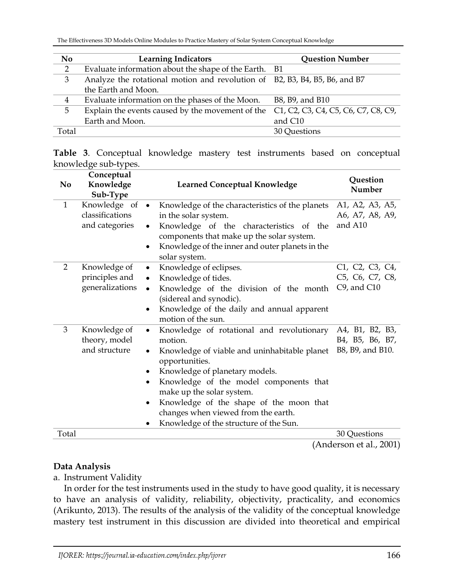| N <sub>0</sub> | <b>Learning Indicators</b>                                                 | <b>Question Number</b>              |
|----------------|----------------------------------------------------------------------------|-------------------------------------|
| 2              | Evaluate information about the shape of the Earth. B1                      |                                     |
| 3              | Analyze the rotational motion and revolution of B2, B3, B4, B5, B6, and B7 |                                     |
|                | the Earth and Moon.                                                        |                                     |
| $\overline{4}$ | Evaluate information on the phases of the Moon.                            | B8, B9, and B10                     |
| 5              | Explain the events caused by the movement of the                           | C1, C2, C3, C4, C5, C6, C7, C8, C9, |
|                | Earth and Moon.                                                            | and C10                             |
| Total          |                                                                            | 30 Questions                        |

|  |                      |  | Table 3. Conceptual knowledge mastery test instruments based on conceptual |  |  |
|--|----------------------|--|----------------------------------------------------------------------------|--|--|
|  | knowledge sub-types. |  |                                                                            |  |  |

| N <sub>0</sub> | Conceptual<br>Knowledge<br>Sub-Type                 | <b>Learned Conceptual Knowledge</b>                                                                                                                                                                                                                                                                                                                                                                                       | Question<br>Number                                     |
|----------------|-----------------------------------------------------|---------------------------------------------------------------------------------------------------------------------------------------------------------------------------------------------------------------------------------------------------------------------------------------------------------------------------------------------------------------------------------------------------------------------------|--------------------------------------------------------|
| 1              | Knowledge of •<br>classifications<br>and categories | Knowledge of the characteristics of the planets<br>in the solar system.<br>Knowledge of the characteristics of the<br>$\bullet$<br>components that make up the solar system.<br>Knowledge of the inner and outer planets in the<br>٠<br>solar system.                                                                                                                                                                     | A1, A2, A3, A5,<br>A6, A7, A8, A9,<br>and A10          |
| 2              | Knowledge of<br>principles and<br>generalizations   | Knowledge of eclipses.<br>$\bullet$<br>Knowledge of tides.<br>$\bullet$<br>Knowledge of the division of the month<br>$\bullet$<br>(sidereal and synodic).<br>Knowledge of the daily and annual apparent<br>٠<br>motion of the sun.                                                                                                                                                                                        | C1, C2, C3, C4,<br>C5, C6, C7, C8,<br>$C9$ , and $C10$ |
| 3              | Knowledge of<br>theory, model<br>and structure      | Knowledge of rotational and revolutionary<br>$\bullet$<br>motion.<br>Knowledge of viable and uninhabitable planet<br>$\bullet$<br>opportunities.<br>Knowledge of planetary models.<br>٠<br>Knowledge of the model components that<br>$\bullet$<br>make up the solar system.<br>Knowledge of the shape of the moon that<br>$\bullet$<br>changes when viewed from the earth.<br>Knowledge of the structure of the Sun.<br>٠ | A4, B1, B2, B3,<br>B4, B5, B6, B7,<br>B8, B9, and B10. |
| Total          |                                                     |                                                                                                                                                                                                                                                                                                                                                                                                                           | 30 Questions                                           |

### (Anderson et al., 2001)

## **Data Analysis**

a. Instrument Validity

In order for the test instruments used in the study to have good quality, it is necessary to have an analysis of validity, reliability, objectivity, practicality, and economics (Arikunto, 2013). The results of the analysis of the validity of the conceptual knowledge mastery test instrument in this discussion are divided into theoretical and empirical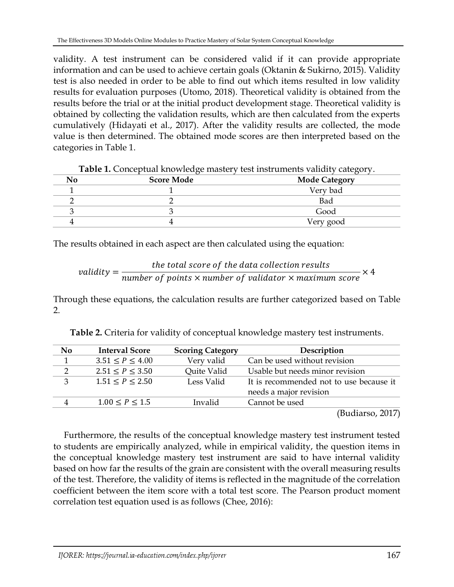validity. A test instrument can be considered valid if it can provide appropriate information and can be used to achieve certain goals (Oktanin & Sukirno, 2015). Validity test is also needed in order to be able to find out which items resulted in low validity results for evaluation purposes (Utomo, 2018). Theoretical validity is obtained from the results before the trial or at the initial product development stage. Theoretical validity is obtained by collecting the validation results, which are then calculated from the experts cumulatively (Hidayati et al., 2017). After the validity results are collected, the mode value is then determined. The obtained mode scores are then interpreted based on the categories in Table 1.

| <b>Tuble 1:</b> Conceptual mio o leage madely test moleuments valiaty eategory. |                   |                      |  |  |
|---------------------------------------------------------------------------------|-------------------|----------------------|--|--|
| No                                                                              | <b>Score Mode</b> | <b>Mode Category</b> |  |  |
|                                                                                 |                   | Very bad             |  |  |
|                                                                                 |                   | Bad                  |  |  |
|                                                                                 |                   | Good                 |  |  |
|                                                                                 |                   | Very good            |  |  |

The results obtained in each aspect are then calculated using the equation:

$$
validity = \frac{the\ total\ score\ of\ the\ data\ collection\ results}{number\ of\ points\times number\ of\ validation\times maximum\ score\times 4}
$$

Through these equations, the calculation results are further categorized based on Table 2.

| No            | <b>Interval Score</b> | <b>Scoring Category</b> | Description                             |
|---------------|-----------------------|-------------------------|-----------------------------------------|
|               | $3.51 \le P \le 4.00$ | Very valid              | Can be used without revision            |
| $\mathcal{D}$ | $2.51 \le P \le 3.50$ | Quite Valid             | Usable but needs minor revision         |
| 3             | $1.51 \le P \le 2.50$ | Less Valid              | It is recommended not to use because it |
|               |                       |                         | needs a major revision                  |
| 4             | $1.00 \le P \le 1.5$  | Invalid                 | Cannot be used                          |

**Table 2.** Criteria for validity of conceptual knowledge mastery test instruments.

(Budiarso, 2017)

Furthermore, the results of the conceptual knowledge mastery test instrument tested to students are empirically analyzed, while in empirical validity, the question items in the conceptual knowledge mastery test instrument are said to have internal validity based on how far the results of the grain are consistent with the overall measuring results of the test. Therefore, the validity of items is reflected in the magnitude of the correlation coefficient between the item score with a total test score. The Pearson product moment correlation test equation used is as follows (Chee, 2016):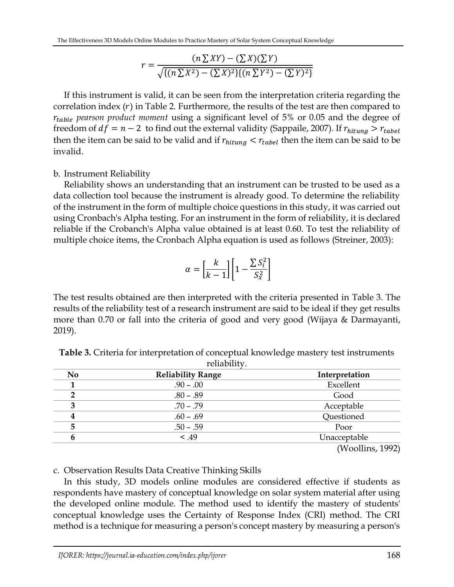$$
r = \frac{(n \sum XY) - (\sum X)(\sum Y)}{\sqrt{\{(n \sum X^2) - (\sum X)^2\}\{(n \sum Y^2) - (\sum Y)^2\}}}
$$

If this instrument is valid, it can be seen from the interpretation criteria regarding the correlation index  $(r)$  in Table 2. Furthermore, the results of the test are then compared to *pearson product moment* using a significant level of 5% or 0.05 and the degree of freedom of  $df = n - 2$  to find out the external validity (Sappaile, 2007). If  $r_{\text{hitung}} > r_{\text{table}}$ then the item can be said to be valid and if  $r_{hitung} < r_{table}$  then the item can be said to be invalid.

## b. Instrument Reliability

Reliability shows an understanding that an instrument can be trusted to be used as a data collection tool because the instrument is already good. To determine the reliability of the instrument in the form of multiple choice questions in this study, it was carried out using Cronbach's Alpha testing. For an instrument in the form of reliability, it is declared reliable if the Crobanch's Alpha value obtained is at least 0.60. To test the reliability of multiple choice items, the Cronbach Alpha equation is used as follows (Streiner, 2003):

$$
\alpha = \left[\frac{k}{k-1}\right] \left[1 - \frac{\sum S_i^2}{S_x^2}\right]
$$

The test results obtained are then interpreted with the criteria presented in Table 3. The results of the reliability test of a research instrument are said to be ideal if they get results more than 0.70 or fall into the criteria of good and very good (Wijaya & Darmayanti, 2019).

| N <sub>0</sub> | <b>Reliability Range</b> | Interpretation   |
|----------------|--------------------------|------------------|
|                | $.90 - .00$              | Excellent        |
|                | $.80 - .89$              | Good             |
| З              | $.70 - .79$              | Acceptable       |
|                | $.60 - .69$              | Questioned       |
| 5              | $.50 - .59$              | Poor             |
| 6              | < .49                    | Unacceptable     |
|                |                          | (Woollins, 1992) |

**Table 3.** Criteria for interpretation of conceptual knowledge mastery test instruments reliability.

c. Observation Results Data Creative Thinking Skills

In this study, 3D models online modules are considered effective if students as respondents have mastery of conceptual knowledge on solar system material after using the developed online module. The method used to identify the mastery of students' conceptual knowledge uses the Certainty of Response Index (CRI) method. The CRI method is a technique for measuring a person's concept mastery by measuring a person's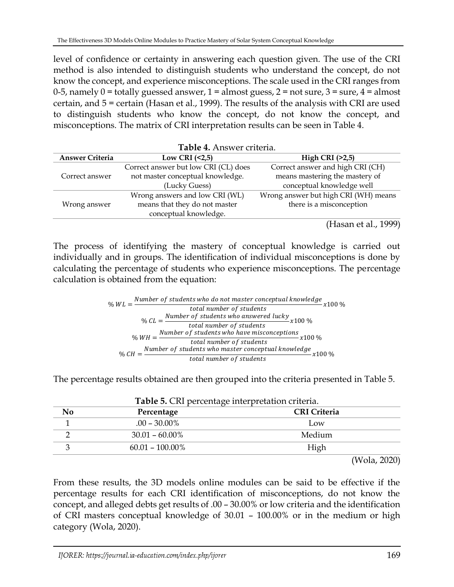level of confidence or certainty in answering each question given. The use of the CRI method is also intended to distinguish students who understand the concept, do not know the concept, and experience misconceptions. The scale used in the CRI ranges from 0-5, namely  $0 =$  totally guessed answer,  $1 =$  almost guess,  $2 =$  not sure,  $3 =$  sure,  $4 =$  almost certain, and 5 = certain (Hasan et al., 1999). The results of the analysis with CRI are used to distinguish students who know the concept, do not know the concept, and misconceptions. The matrix of CRI interpretation results can be seen in Table 4.

| Table 4. Answer criteria. |                                      |                                      |  |  |  |
|---------------------------|--------------------------------------|--------------------------------------|--|--|--|
| <b>Answer Criteria</b>    | Low CRI $(2,5)$                      | High CRI $(>2,5)$                    |  |  |  |
|                           | Correct answer but low CRI (CL) does | Correct answer and high CRI (CH)     |  |  |  |
| Correct answer            | not master conceptual knowledge.     | means mastering the mastery of       |  |  |  |
|                           | (Lucky Guess)                        | conceptual knowledge well            |  |  |  |
|                           | Wrong answers and low CRI (WL)       | Wrong answer but high CRI (WH) means |  |  |  |
| Wrong answer              | means that they do not master        | there is a misconception             |  |  |  |
|                           | conceptual knowledge.                |                                      |  |  |  |
|                           |                                      | - ----                               |  |  |  |

(Hasan et al., 1999)

The process of identifying the mastery of conceptual knowledge is carried out individually and in groups. The identification of individual misconceptions is done by calculating the percentage of students who experience misconceptions. The percentage calculation is obtained from the equation:

$$
\% WL = \frac{Number\ of\ students\ who\ do\ not\ master\ conceptual\ knowledge\ total\ number\ of\ students}{total\ number\ of\ students}
$$

$$
\% CL = \frac{Number\ of\ students\ who\ answered\ lucky}{total\ number\ of\ students}
$$

$$
\% WH = \frac{Number\ of\ students\ who\ have\ microareptions}{total\ number\ of\ students}
$$

$$
\% CH = \frac{Number\ of\ students\ who\ master\ conceptual\ knowledge}{total\ number\ of\ students}
$$

$$
\% CH = \frac{Number\ of\ students\ who\ master\ conceptual\ knowledge}{total\ number\ of\ students}
$$

The percentage results obtained are then grouped into the criteria presented in Table 5.

| Percentage         | <b>CRI</b> Criteria |
|--------------------|---------------------|
| $.00 - 30.00\%$    | Low                 |
| $30.01 - 60.00\%$  | Medium              |
| $60.01 - 100.00\%$ | High                |

|  | Table 5. CRI percentage interpretation criteria. |  |
|--|--------------------------------------------------|--|
|--|--------------------------------------------------|--|

(Wola, 2020)

From these results, the 3D models online modules can be said to be effective if the percentage results for each CRI identification of misconceptions, do not know the concept, and alleged debts get results of .00 – 30.00% or low criteria and the identification of CRI masters conceptual knowledge of 30.01 – 100.00% or in the medium or high category (Wola, 2020).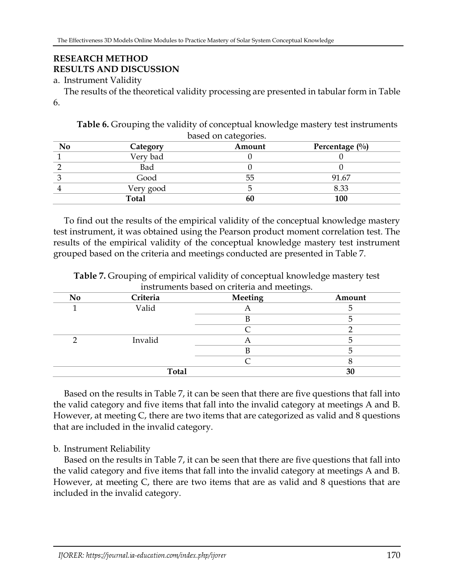# **RESEARCH METHOD RESULTS AND DISCUSSION**

## a. Instrument Validity

The results of the theoretical validity processing are presented in tabular form in Table 6.

**Table 6.** Grouping the validity of conceptual knowledge mastery test instruments based on categories.

| No | Category     | $\cdot$<br>Amount | Percentage $(\%)$ |
|----|--------------|-------------------|-------------------|
|    | Very bad     |                   |                   |
|    | Bad          |                   |                   |
|    | Good         | 55                | 91.67             |
|    | Very good    |                   | 8.33              |
|    | <b>Total</b> | 60                | 100               |

To find out the results of the empirical validity of the conceptual knowledge mastery test instrument, it was obtained using the Pearson product moment correlation test. The results of the empirical validity of the conceptual knowledge mastery test instrument grouped based on the criteria and meetings conducted are presented in Table 7.

| <b>No</b>    | Criteria | Meeting | Amount |
|--------------|----------|---------|--------|
|              | Valid    |         |        |
|              |          |         |        |
|              |          |         |        |
|              | Invalid  |         |        |
|              |          |         |        |
|              |          |         |        |
| <b>Total</b> |          |         | 30     |

**Table 7.** Grouping of empirical validity of conceptual knowledge mastery test instruments based on criteria and meetings.

Based on the results in Table 7, it can be seen that there are five questions that fall into the valid category and five items that fall into the invalid category at meetings A and B. However, at meeting C, there are two items that are categorized as valid and 8 questions that are included in the invalid category.

## b. Instrument Reliability

Based on the results in Table 7, it can be seen that there are five questions that fall into the valid category and five items that fall into the invalid category at meetings A and B. However, at meeting C, there are two items that are as valid and 8 questions that are included in the invalid category.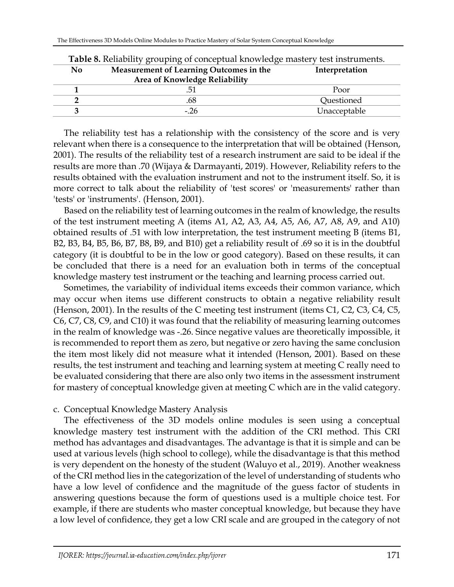|                | <b>Table 8.</b> Reliability grouping of conceptual knowledge mastery test instruments. |                |  |  |
|----------------|----------------------------------------------------------------------------------------|----------------|--|--|
| N <sub>0</sub> | Measurement of Learning Outcomes in the                                                | Interpretation |  |  |
|                | Area of Knowledge Reliability                                                          |                |  |  |
|                |                                                                                        | Poor           |  |  |
|                | .68                                                                                    | Questioned     |  |  |
|                | $-26$                                                                                  | Unacceptable   |  |  |

**Table 8.** Reliability grouping of conceptual knowledge mastery test instruments.

The reliability test has a relationship with the consistency of the score and is very relevant when there is a consequence to the interpretation that will be obtained (Henson, 2001). The results of the reliability test of a research instrument are said to be ideal if the results are more than .70 (Wijaya & Darmayanti, 2019). However, Reliability refers to the results obtained with the evaluation instrument and not to the instrument itself. So, it is more correct to talk about the reliability of 'test scores' or 'measurements' rather than 'tests' or 'instruments'. (Henson, 2001).

Based on the reliability test of learning outcomes in the realm of knowledge, the results of the test instrument meeting A (items A1, A2, A3, A4, A5, A6, A7, A8, A9, and A10) obtained results of .51 with low interpretation, the test instrument meeting B (items B1, B2, B3, B4, B5, B6, B7, B8, B9, and B10) get a reliability result of .69 so it is in the doubtful category (it is doubtful to be in the low or good category). Based on these results, it can be concluded that there is a need for an evaluation both in terms of the conceptual knowledge mastery test instrument or the teaching and learning process carried out.

Sometimes, the variability of individual items exceeds their common variance, which may occur when items use different constructs to obtain a negative reliability result (Henson, 2001). In the results of the C meeting test instrument (items C1, C2, C3, C4, C5, C6, C7, C8, C9, and C10) it was found that the reliability of measuring learning outcomes in the realm of knowledge was -.26. Since negative values are theoretically impossible, it is recommended to report them as zero, but negative or zero having the same conclusion the item most likely did not measure what it intended (Henson, 2001). Based on these results, the test instrument and teaching and learning system at meeting C really need to be evaluated considering that there are also only two items in the assessment instrument for mastery of conceptual knowledge given at meeting C which are in the valid category.

### c. Conceptual Knowledge Mastery Analysis

The effectiveness of the 3D models online modules is seen using a conceptual knowledge mastery test instrument with the addition of the CRI method. This CRI method has advantages and disadvantages. The advantage is that it is simple and can be used at various levels (high school to college), while the disadvantage is that this method is very dependent on the honesty of the student (Waluyo et al., 2019). Another weakness of the CRI method lies in the categorization of the level of understanding of students who have a low level of confidence and the magnitude of the guess factor of students in answering questions because the form of questions used is a multiple choice test. For example, if there are students who master conceptual knowledge, but because they have a low level of confidence, they get a low CRI scale and are grouped in the category of not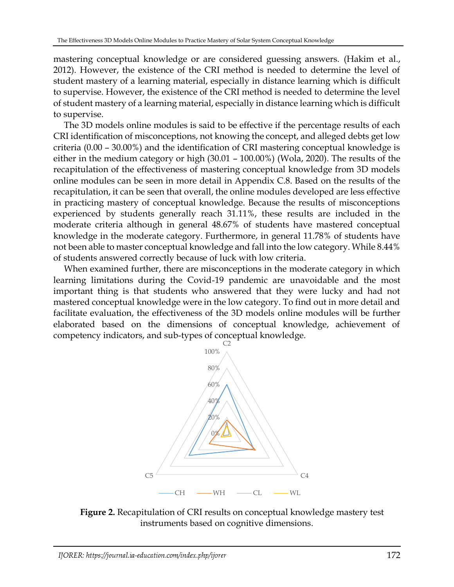mastering conceptual knowledge or are considered guessing answers. (Hakim et al., 2012). However, the existence of the CRI method is needed to determine the level of student mastery of a learning material, especially in distance learning which is difficult to supervise. However, the existence of the CRI method is needed to determine the level of student mastery of a learning material, especially in distance learning which is difficult to supervise.

The 3D models online modules is said to be effective if the percentage results of each CRI identification of misconceptions, not knowing the concept, and alleged debts get low criteria (0.00 – 30.00%) and the identification of CRI mastering conceptual knowledge is either in the medium category or high (30.01 – 100.00%) (Wola, 2020). The results of the recapitulation of the effectiveness of mastering conceptual knowledge from 3D models online modules can be seen in more detail in Appendix C.8. Based on the results of the recapitulation, it can be seen that overall, the online modules developed are less effective in practicing mastery of conceptual knowledge. Because the results of misconceptions experienced by students generally reach 31.11%, these results are included in the moderate criteria although in general 48.67% of students have mastered conceptual knowledge in the moderate category. Furthermore, in general 11.78% of students have not been able to master conceptual knowledge and fall into the low category. While 8.44% of students answered correctly because of luck with low criteria.

When examined further, there are misconceptions in the moderate category in which learning limitations during the Covid-19 pandemic are unavoidable and the most important thing is that students who answered that they were lucky and had not mastered conceptual knowledge were in the low category. To find out in more detail and facilitate evaluation, the effectiveness of the 3D models online modules will be further elaborated based on the dimensions of conceptual knowledge, achievement of competency indicators, and sub-types of conceptual knowledge.



**Figure 2.** Recapitulation of CRI results on conceptual knowledge mastery test instruments based on cognitive dimensions.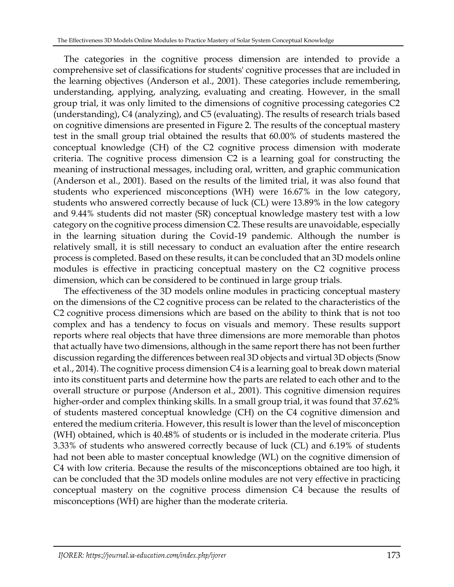The categories in the cognitive process dimension are intended to provide a comprehensive set of classifications for students' cognitive processes that are included in the learning objectives (Anderson et al., 2001). These categories include remembering, understanding, applying, analyzing, evaluating and creating. However, in the small group trial, it was only limited to the dimensions of cognitive processing categories C2 (understanding), C4 (analyzing), and C5 (evaluating). The results of research trials based on cognitive dimensions are presented in Figure 2. The results of the conceptual mastery test in the small group trial obtained the results that 60.00% of students mastered the conceptual knowledge (CH) of the C2 cognitive process dimension with moderate criteria. The cognitive process dimension C2 is a learning goal for constructing the meaning of instructional messages, including oral, written, and graphic communication (Anderson et al., 2001). Based on the results of the limited trial, it was also found that students who experienced misconceptions (WH) were 16.67% in the low category, students who answered correctly because of luck (CL) were 13.89% in the low category and 9.44% students did not master (SR) conceptual knowledge mastery test with a low category on the cognitive process dimension C2. These results are unavoidable, especially in the learning situation during the Covid-19 pandemic. Although the number is relatively small, it is still necessary to conduct an evaluation after the entire research process is completed. Based on these results, it can be concluded that an 3D models online modules is effective in practicing conceptual mastery on the C2 cognitive process dimension, which can be considered to be continued in large group trials.

The effectiveness of the 3D models online modules in practicing conceptual mastery on the dimensions of the C2 cognitive process can be related to the characteristics of the C2 cognitive process dimensions which are based on the ability to think that is not too complex and has a tendency to focus on visuals and memory. These results support reports where real objects that have three dimensions are more memorable than photos that actually have two dimensions, although in the same report there has not been further discussion regarding the differences between real 3D objects and virtual 3D objects (Snow et al., 2014). The cognitive process dimension C4 is a learning goal to break down material into its constituent parts and determine how the parts are related to each other and to the overall structure or purpose (Anderson et al., 2001). This cognitive dimension requires higher-order and complex thinking skills. In a small group trial, it was found that 37.62% of students mastered conceptual knowledge (CH) on the C4 cognitive dimension and entered the medium criteria. However, this result is lower than the level of misconception (WH) obtained, which is 40.48% of students or is included in the moderate criteria. Plus 3.33% of students who answered correctly because of luck (CL) and 6.19% of students had not been able to master conceptual knowledge (WL) on the cognitive dimension of C4 with low criteria. Because the results of the misconceptions obtained are too high, it can be concluded that the 3D models online modules are not very effective in practicing conceptual mastery on the cognitive process dimension C4 because the results of misconceptions (WH) are higher than the moderate criteria.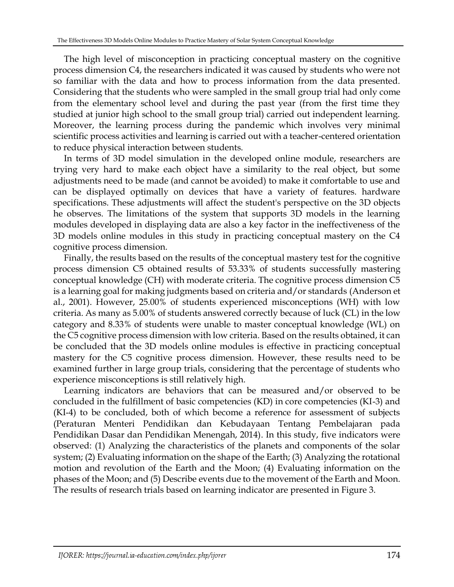The high level of misconception in practicing conceptual mastery on the cognitive process dimension C4, the researchers indicated it was caused by students who were not so familiar with the data and how to process information from the data presented. Considering that the students who were sampled in the small group trial had only come from the elementary school level and during the past year (from the first time they studied at junior high school to the small group trial) carried out independent learning. Moreover, the learning process during the pandemic which involves very minimal scientific process activities and learning is carried out with a teacher-centered orientation to reduce physical interaction between students.

In terms of 3D model simulation in the developed online module, researchers are trying very hard to make each object have a similarity to the real object, but some adjustments need to be made (and cannot be avoided) to make it comfortable to use and can be displayed optimally on devices that have a variety of features. hardware specifications. These adjustments will affect the student's perspective on the 3D objects he observes. The limitations of the system that supports 3D models in the learning modules developed in displaying data are also a key factor in the ineffectiveness of the 3D models online modules in this study in practicing conceptual mastery on the C4 cognitive process dimension.

Finally, the results based on the results of the conceptual mastery test for the cognitive process dimension C5 obtained results of 53.33% of students successfully mastering conceptual knowledge (CH) with moderate criteria. The cognitive process dimension C5 is a learning goal for making judgments based on criteria and/or standards (Anderson et al., 2001). However, 25.00% of students experienced misconceptions (WH) with low criteria. As many as 5.00% of students answered correctly because of luck (CL) in the low category and 8.33% of students were unable to master conceptual knowledge (WL) on the C5 cognitive process dimension with low criteria. Based on the results obtained, it can be concluded that the 3D models online modules is effective in practicing conceptual mastery for the C5 cognitive process dimension. However, these results need to be examined further in large group trials, considering that the percentage of students who experience misconceptions is still relatively high.

Learning indicators are behaviors that can be measured and/or observed to be concluded in the fulfillment of basic competencies (KD) in core competencies (KI-3) and (KI-4) to be concluded, both of which become a reference for assessment of subjects (Peraturan Menteri Pendidikan dan Kebudayaan Tentang Pembelajaran pada Pendidikan Dasar dan Pendidikan Menengah, 2014). In this study, five indicators were observed: (1) Analyzing the characteristics of the planets and components of the solar system; (2) Evaluating information on the shape of the Earth; (3) Analyzing the rotational motion and revolution of the Earth and the Moon; (4) Evaluating information on the phases of the Moon; and (5) Describe events due to the movement of the Earth and Moon. The results of research trials based on learning indicator are presented in Figure 3.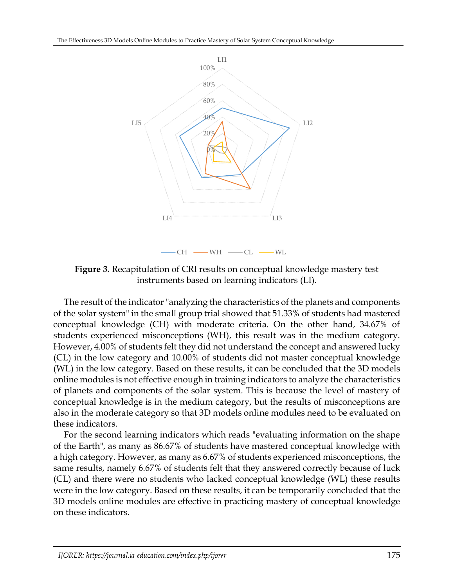

**Figure 3.** Recapitulation of CRI results on conceptual knowledge mastery test instruments based on learning indicators (LI).

The result of the indicator "analyzing the characteristics of the planets and components of the solar system" in the small group trial showed that 51.33% of students had mastered conceptual knowledge (CH) with moderate criteria. On the other hand, 34.67% of students experienced misconceptions (WH), this result was in the medium category. However, 4.00% of students felt they did not understand the concept and answered lucky (CL) in the low category and 10.00% of students did not master conceptual knowledge (WL) in the low category. Based on these results, it can be concluded that the 3D models online modules is not effective enough in training indicators to analyze the characteristics of planets and components of the solar system. This is because the level of mastery of conceptual knowledge is in the medium category, but the results of misconceptions are also in the moderate category so that 3D models online modules need to be evaluated on these indicators.

For the second learning indicators which reads "evaluating information on the shape of the Earth", as many as 86.67% of students have mastered conceptual knowledge with a high category. However, as many as 6.67% of students experienced misconceptions, the same results, namely 6.67% of students felt that they answered correctly because of luck (CL) and there were no students who lacked conceptual knowledge (WL) these results were in the low category. Based on these results, it can be temporarily concluded that the 3D models online modules are effective in practicing mastery of conceptual knowledge on these indicators.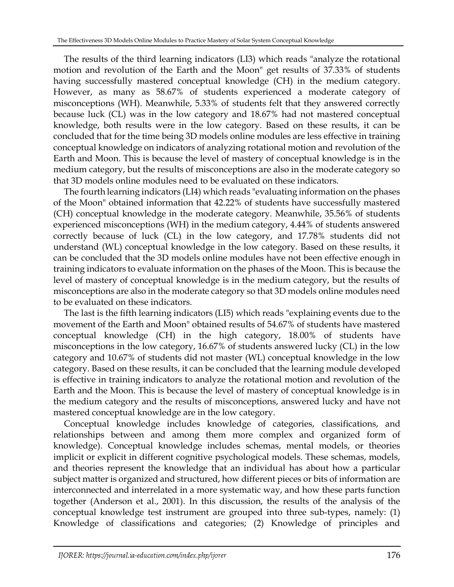The results of the third learning indicators (LI3) which reads "analyze the rotational motion and revolution of the Earth and the Moon" get results of 37.33% of students having successfully mastered conceptual knowledge (CH) in the medium category. However, as many as 58.67% of students experienced a moderate category of misconceptions (WH). Meanwhile, 5.33% of students felt that they answered correctly because luck (CL) was in the low category and 18.67% had not mastered conceptual knowledge, both results were in the low category. Based on these results, it can be concluded that for the time being 3D models online modules are less effective in training conceptual knowledge on indicators of analyzing rotational motion and revolution of the Earth and Moon. This is because the level of mastery of conceptual knowledge is in the medium category, but the results of misconceptions are also in the moderate category so that 3D models online modules need to be evaluated on these indicators.

The fourth learning indicators (LI4) which reads "evaluating information on the phases of the Moon" obtained information that 42.22% of students have successfully mastered (CH) conceptual knowledge in the moderate category. Meanwhile, 35.56% of students experienced misconceptions (WH) in the medium category, 4.44% of students answered correctly because of luck (CL) in the low category, and 17.78% students did not understand (WL) conceptual knowledge in the low category. Based on these results, it can be concluded that the 3D models online modules have not been effective enough in training indicators to evaluate information on the phases of the Moon. This is because the level of mastery of conceptual knowledge is in the medium category, but the results of misconceptions are also in the moderate category so that 3D models online modules need to be evaluated on these indicators.

The last is the fifth learning indicators (LI5) which reads "explaining events due to the movement of the Earth and Moon" obtained results of 54.67% of students have mastered conceptual knowledge (CH) in the high category, 18.00% of students have misconceptions in the low category, 16.67% of students answered lucky (CL) in the low category and 10.67% of students did not master (WL) conceptual knowledge in the low category. Based on these results, it can be concluded that the learning module developed is effective in training indicators to analyze the rotational motion and revolution of the Earth and the Moon. This is because the level of mastery of conceptual knowledge is in the medium category and the results of misconceptions, answered lucky and have not mastered conceptual knowledge are in the low category.

Conceptual knowledge includes knowledge of categories, classifications, and relationships between and among them more complex and organized form of knowledge). Conceptual knowledge includes schemas, mental models, or theories implicit or explicit in different cognitive psychological models. These schemas, models, and theories represent the knowledge that an individual has about how a particular subject matter is organized and structured, how different pieces or bits of information are interconnected and interrelated in a more systematic way, and how these parts function together (Anderson et al., 2001). In this discussion, the results of the analysis of the conceptual knowledge test instrument are grouped into three sub-types, namely: (1) Knowledge of classifications and categories; (2) Knowledge of principles and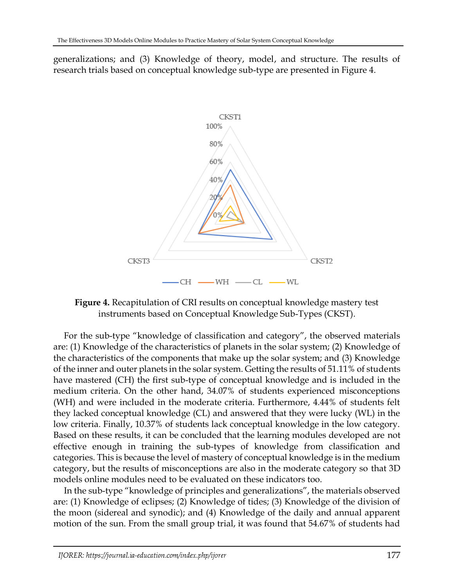generalizations; and (3) Knowledge of theory, model, and structure. The results of research trials based on conceptual knowledge sub-type are presented in Figure 4.



**Figure 4.** Recapitulation of CRI results on conceptual knowledge mastery test instruments based on Conceptual Knowledge Sub-Types (CKST).

For the sub-type "knowledge of classification and category", the observed materials are: (1) Knowledge of the characteristics of planets in the solar system; (2) Knowledge of the characteristics of the components that make up the solar system; and (3) Knowledge of the inner and outer planets in the solar system. Getting the results of 51.11% of students have mastered (CH) the first sub-type of conceptual knowledge and is included in the medium criteria. On the other hand, 34.07% of students experienced misconceptions (WH) and were included in the moderate criteria. Furthermore, 4.44% of students felt they lacked conceptual knowledge (CL) and answered that they were lucky (WL) in the low criteria. Finally, 10.37% of students lack conceptual knowledge in the low category. Based on these results, it can be concluded that the learning modules developed are not effective enough in training the sub-types of knowledge from classification and categories. This is because the level of mastery of conceptual knowledge is in the medium category, but the results of misconceptions are also in the moderate category so that 3D models online modules need to be evaluated on these indicators too.

In the sub-type "knowledge of principles and generalizations", the materials observed are: (1) Knowledge of eclipses; (2) Knowledge of tides; (3) Knowledge of the division of the moon (sidereal and synodic); and (4) Knowledge of the daily and annual apparent motion of the sun. From the small group trial, it was found that 54.67% of students had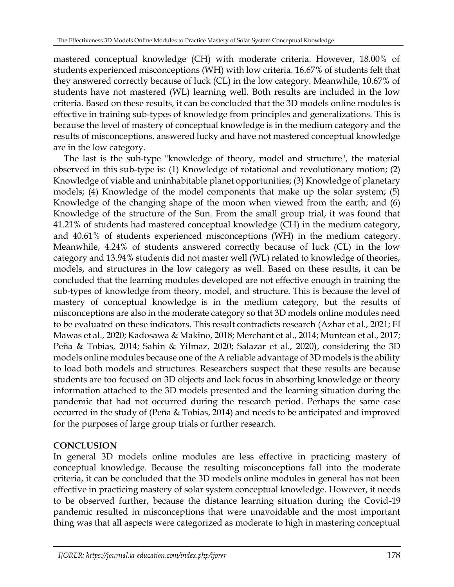mastered conceptual knowledge (CH) with moderate criteria. However, 18.00% of students experienced misconceptions (WH) with low criteria. 16.67% of students felt that they answered correctly because of luck (CL) in the low category. Meanwhile, 10.67% of students have not mastered (WL) learning well. Both results are included in the low criteria. Based on these results, it can be concluded that the 3D models online modules is effective in training sub-types of knowledge from principles and generalizations. This is because the level of mastery of conceptual knowledge is in the medium category and the results of misconceptions, answered lucky and have not mastered conceptual knowledge are in the low category.

The last is the sub-type "knowledge of theory, model and structure", the material observed in this sub-type is: (1) Knowledge of rotational and revolutionary motion; (2) Knowledge of viable and uninhabitable planet opportunities; (3) Knowledge of planetary models; (4) Knowledge of the model components that make up the solar system; (5) Knowledge of the changing shape of the moon when viewed from the earth; and (6) Knowledge of the structure of the Sun. From the small group trial, it was found that 41.21% of students had mastered conceptual knowledge (CH) in the medium category, and 40.61% of students experienced misconceptions (WH) in the medium category. Meanwhile, 4.24% of students answered correctly because of luck (CL) in the low category and 13.94% students did not master well (WL) related to knowledge of theories, models, and structures in the low category as well. Based on these results, it can be concluded that the learning modules developed are not effective enough in training the sub-types of knowledge from theory, model, and structure. This is because the level of mastery of conceptual knowledge is in the medium category, but the results of misconceptions are also in the moderate category so that 3D models online modules need to be evaluated on these indicators. This result contradicts research (Azhar et al., 2021; El Mawas et al., 2020; Kadosawa & Makino, 2018; Merchant et al., 2014; Muntean et al., 2017; Peña & Tobias, 2014; Sahin & Yilmaz, 2020; Salazar et al., 2020), considering the 3D models online modules because one of the A reliable advantage of 3D models is the ability to load both models and structures. Researchers suspect that these results are because students are too focused on 3D objects and lack focus in absorbing knowledge or theory information attached to the 3D models presented and the learning situation during the pandemic that had not occurred during the research period. Perhaps the same case occurred in the study of (Peña & Tobias, 2014) and needs to be anticipated and improved for the purposes of large group trials or further research.

# **CONCLUSION**

In general 3D models online modules are less effective in practicing mastery of conceptual knowledge. Because the resulting misconceptions fall into the moderate criteria, it can be concluded that the 3D models online modules in general has not been effective in practicing mastery of solar system conceptual knowledge. However, it needs to be observed further, because the distance learning situation during the Covid-19 pandemic resulted in misconceptions that were unavoidable and the most important thing was that all aspects were categorized as moderate to high in mastering conceptual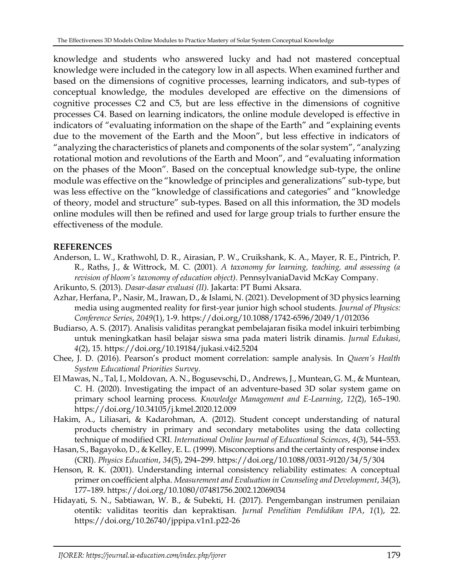knowledge and students who answered lucky and had not mastered conceptual knowledge were included in the category low in all aspects. When examined further and based on the dimensions of cognitive processes, learning indicators, and sub-types of conceptual knowledge, the modules developed are effective on the dimensions of cognitive processes C2 and C5, but are less effective in the dimensions of cognitive processes C4. Based on learning indicators, the online module developed is effective in indicators of "evaluating information on the shape of the Earth" and "explaining events due to the movement of the Earth and the Moon", but less effective in indicators of "analyzing the characteristics of planets and components of the solar system", "analyzing rotational motion and revolutions of the Earth and Moon", and "evaluating information on the phases of the Moon". Based on the conceptual knowledge sub-type, the online module was effective on the "knowledge of principles and generalizations" sub-type, but was less effective on the "knowledge of classifications and categories" and "knowledge of theory, model and structure" sub-types. Based on all this information, the 3D models online modules will then be refined and used for large group trials to further ensure the effectiveness of the module.

## **REFERENCES**

- Anderson, L. W., Krathwohl, D. R., Airasian, P. W., Cruikshank, K. A., Mayer, R. E., Pintrich, P. R., Raths, J., & Wittrock, M. C. (2001). *A taxonomy for learning, teaching, and assessing (a revision of bloom's taxonomy of education object)*. PennsylvaniaDavid McKay Company.
- Arikunto, S. (2013). *Dasar-dasar evaluasi (II).* Jakarta: PT Bumi Aksara.
- Azhar, Herfana, P., Nasir, M., Irawan, D., & Islami, N. (2021). Development of 3D physics learning media using augmented reality for first-year junior high school students. *Journal of Physics: Conference Series*, *2049*(1), 1-9. https://doi.org/10.1088/1742-6596/2049/1/012036
- Budiarso, A. S. (2017). Analisis validitas perangkat pembelajaran fisika model inkuiri terbimbing untuk meningkatkan hasil belajar siswa sma pada materi listrik dinamis. *Jurnal Edukasi*, *4*(2), 15. https://doi.org/10.19184/jukasi.v4i2.5204
- Chee, J. D. (2016). Pearson's product moment correlation: sample analysis. In *Queen's Health System Educational Priorities Survey*.
- El Mawas, N., Tal, I., Moldovan, A. N., Bogusevschi, D., Andrews, J., Muntean, G. M., & Muntean, C. H. (2020). Investigating the impact of an adventure-based 3D solar system game on primary school learning process. *Knowledge Management and E-Learning*, *12*(2), 165–190. https://doi.org/10.34105/j.kmel.2020.12.009
- Hakim, A., Liliasari, & Kadarohman, A. (2012). Student concept understanding of natural products chemistry in primary and secondary metabolites using the data collecting technique of modified CRI. *International Online Journal of Educational Sciences*, *4*(3), 544–553.
- Hasan, S., Bagayoko, D., & Kelley, E. L. (1999). Misconceptions and the certainty of response index (CRI). *Physics Education*, *34*(5), 294–299. https://doi.org/10.1088/0031-9120/34/5/304
- Henson, R. K. (2001). Understanding internal consistency reliability estimates: A conceptual primer on coefficient alpha. *Measurement and Evaluation in Counseling and Development*, *34*(3), 177–189. https://doi.org/10.1080/07481756.2002.12069034
- Hidayati, S. N., Sabtiawan, W. B., & Subekti, H. (2017). Pengembangan instrumen penilaian otentik: validitas teoritis dan kepraktisan. *Jurnal Penelitian Pendidikan IPA*, *1*(1), 22. https://doi.org/10.26740/jppipa.v1n1.p22-26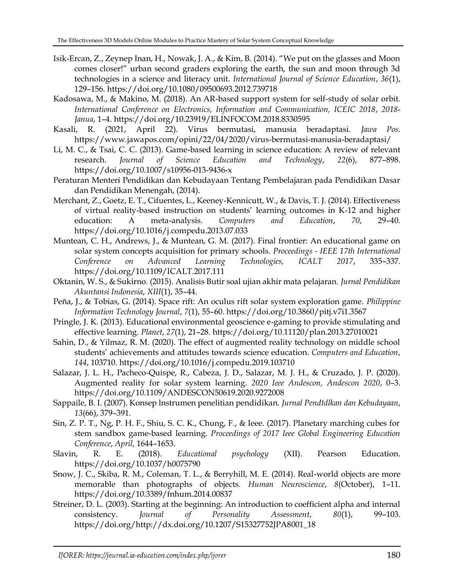- Isik-Ercan, Z., Zeynep Inan, H., Nowak, J. A., & Kim, B. (2014). "We put on the glasses and Moon comes closer!" urban second graders exploring the earth, the sun and moon through 3d technologies in a science and literacy unit. *International Journal of Science Education*, *36*(1), 129–156. https://doi.org/10.1080/09500693.2012.739718
- Kadosawa, M., & Makino, M. (2018). An AR-based support system for self-study of solar orbit. *International Conference on Electronics, Information and Communication, ICEIC 2018*, *2018*- *Janua*, 1–4. https://doi.org/10.23919/ELINFOCOM.2018.8330595
- Kasali, R. (2021, April 22). Virus bermutasi, manusia beradaptasi. *Jawa Pos*. https://www.jawapos.com/opini/22/04/2020/virus-bermutasi-manusia-beradaptasi/
- Li, M. C., & Tsai, C. C. (2013). Game-based learning in science education: A review of relevant research. *Journal of Science Education and Technology*, *22*(6), 877–898. https://doi.org/10.1007/s10956-013-9436-x
- Peraturan Menteri Pendidikan dan Kebudayaan Tentang Pembelajaran pada Pendidikan Dasar dan Pendidikan Menengah, (2014).
- Merchant, Z., Goetz, E. T., Cifuentes, L., Keeney-Kennicutt, W., & Davis, T. J. (2014). Effectiveness of virtual reality-based instruction on students' learning outcomes in K-12 and higher education: A meta-analysis. *Computers and Education*, *70*, 29–40. https://doi.org/10.1016/j.compedu.2013.07.033
- Muntean, C. H., Andrews, J., & Muntean, G. M. (2017). Final frontier: An educational game on solar system concepts acquisition for primary schools. *Proceedings - IEEE 17th International Conference on Advanced Learning Technologies, ICALT 2017*, 335–337. https://doi.org/10.1109/ICALT.2017.111
- Oktanin, W. S., & Sukirno. (2015). Analisis Butir soal ujian akhir mata pelajaran. *Jurnal Pendidikan Akuntansi Indonesia*, *XIII*(1), 35–44.
- Peña, J., & Tobias, G. (2014). Space rift: An oculus rift solar system exploration game. *Philippine Information Technology Journal*, *7*(1), 55–60. https://doi.org/10.3860/pitj.v7i1.3567
- Pringle, J. K. (2013). Educational environmental geoscience e-gaming to provide stimulating and effective learning. *Planet*, *27*(1), 21–28. https://doi.org/10.11120/plan.2013.27010021
- Sahin, D., & Yilmaz, R. M. (2020). The effect of augmented reality technology on middle school students' achievements and attitudes towards science education. *Computers and Education*, *144*, 103710. https://doi.org/10.1016/j.compedu.2019.103710
- Salazar, J. L. H., Pacheco-Quispe, R., Cabeza, J. D., Salazar, M. J. H., & Cruzado, J. P. (2020). Augmented reality for solar system learning. *2020 Ieee Andescon, Andescon 2020*, 0–3. https://doi.org/10.1109/ANDESCON50619.2020.9272008
- Sappaile, B. I. (2007). Konsep lnstrumen penelitian pendidikan. *Jurnal Pendtdlkan dan Kebudayaan*, *13*(66), 379–391.
- Sin, Z. P. T., Ng, P. H. F., Shiu, S. C. K., Chung, F., & Ieee. (2017). Planetary marching cubes for stem sandbox game-based learning. *Proceedings of 2017 Ieee Global Engineering Education Conference*, *April*, 1644–1653.
- Slavin, R. E. (2018). *Educational psychology* (XII). Pearson Education. https://doi.org/10.1037/h0075790
- Snow, J. C., Skiba, R. M., Coleman, T. L., & Berryhill, M. E. (2014). Real-world objects are more memorable than photographs of objects. *Human Neuroscience*, *8*(October), 1–11. https://doi.org/10.3389/fnhum.2014.00837
- Streiner, D. L. (2003). Starting at the beginning: An introduction to coefficient alpha and internal consistency. *Journal of Personality Assessment*, *80*(1), 99–103. https://doi.org/http://dx.doi.org/10.1207/S15327752JPA8001\_18